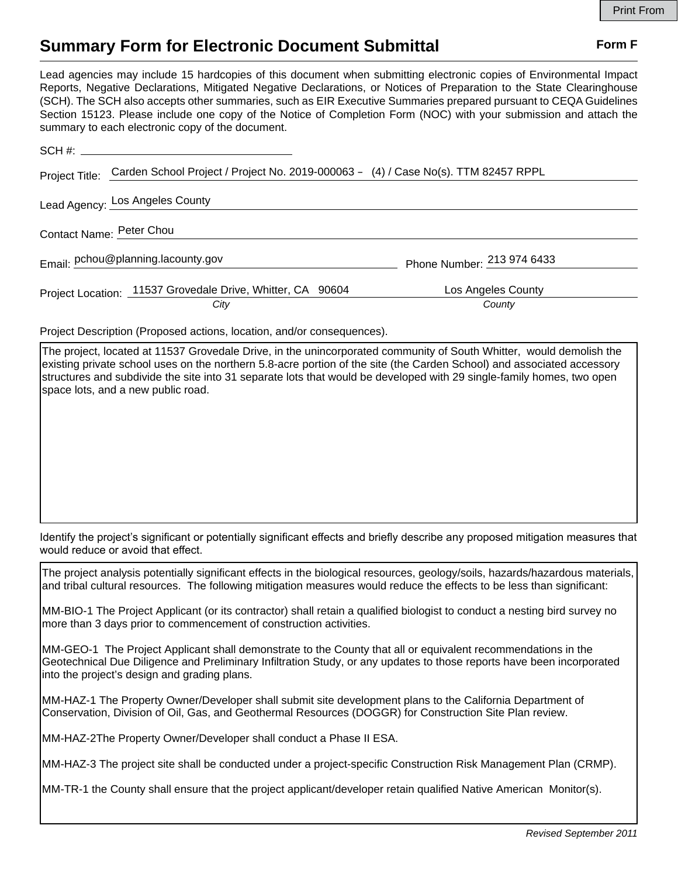## **Summary Form for Electronic Document Submittal Form F Form F**

Lead agencies may include 15 hardcopies of this document when submitting electronic copies of Environmental Impact Reports, Negative Declarations, Mitigated Negative Declarations, or Notices of Preparation to the State Clearinghouse (SCH). The SCH also accepts other summaries, such as EIR Executive Summaries prepared pursuant to CEQA Guidelines Section 15123. Please include one copy of the Notice of Completion Form (NOC) with your submission and attach the summary to each electronic copy of the document.

| Project Title:           | Carden School Project / Project No. 2019-000063 - (4) / Case No(s). TTM 82457 RPPL |                              |  |
|--------------------------|------------------------------------------------------------------------------------|------------------------------|--|
|                          | Lead Agency: Los Angeles County                                                    |                              |  |
| Contact Name: Peter Chou |                                                                                    |                              |  |
|                          | Email: pchou@planning.lacounty.gov                                                 | Phone Number: 213 974 6433   |  |
|                          | Project Location: 11537 Grovedale Drive, Whitter, CA 90604<br>City                 | Los Angeles County<br>County |  |

Project Description (Proposed actions, location, and/or consequences).

The project, located at 11537 Grovedale Drive, in the unincorporated community of South Whitter, would demolish the existing private school uses on the northern 5.8-acre portion of the site (the Carden School) and associated accessory structures and subdivide the site into 31 separate lots that would be developed with 29 single-family homes, two open space lots, and a new public road.

Identify the project's significant or potentially significant effects and briefly describe any proposed mitigation measures that would reduce or avoid that effect.

The project analysis potentially significant effects in the biological resources, geology/soils, hazards/hazardous materials, and tribal cultural resources. The following mitigation measures would reduce the effects to be less than significant:

MM-BIO-1 The Project Applicant (or its contractor) shall retain a qualified biologist to conduct a nesting bird survey no more than 3 days prior to commencement of construction activities.

MM-GEO-1 The Project Applicant shall demonstrate to the County that all or equivalent recommendations in the Geotechnical Due Diligence and Preliminary Infiltration Study, or any updates to those reports have been incorporated into the project's design and grading plans.

MM-HAZ-1 The Property Owner/Developer shall submit site development plans to the California Department of Conservation, Division of Oil, Gas, and Geothermal Resources (DOGGR) for Construction Site Plan review.

MM-HAZ-2The Property Owner/Developer shall conduct a Phase II ESA.

MM-HAZ-3 The project site shall be conducted under a project-specific Construction Risk Management Plan (CRMP).

MM-TR-1 the County shall ensure that the project applicant/developer retain qualified Native American Monitor(s).